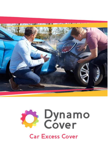

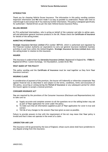### **INTRODUCTION**

Thank you for choosing Vehicle Excess Insurance. The information in this policy wording contains important information and **We** have made it as easy as possible to understand. Please take time to read through it and contact **Us** if You need any further information. This policy is designed specifically for authorised / Named Drivers as per the main Vehicle Excess Insurance Policy.

#### **SELLING BROKER**

An FCA authorised intermediary, who is acting on behalf of the customer and able to advise upon, sell and administer general insurance products in the UK. Please check the **Certificate of Insurance** for details of the selling broker.

### **MARKETING INTERMEDIARY**

**Strategic Insurance Services Limited** (FCA number **307133**, which is authorised and regulated by the Financial Conduct Authority (or equivalent) to carry out general insurance mediation business activities in and from within the United Kingdom. **Strategic Insurance Services Limited** deals with the selling broker in relation to this insurance.

#### **INSURER**

This insurance is underwritten by **Astrenska Insurance Limited**. Registered in England No. **1708613**. Registered Office: Cutlers Exchange, 123 Houndsditch, London EC3A 7BU.

#### **WHAT MAKES UP THIS POLICY?**

This policy wording and the **Certificate of Insurance** must be read together as they form **Your** insurance contract.

### **INSURING CLAUSE**

In consideration of payment of the premium, the insurer will indemnify or otherwise compensate **You**  against financial loss as described in and subject to the terms, conditions, limits and exclusions of this policy, occurring or arising during the **Period of Insurance** or any subsequent period for which the insurer agrees to accept a renewal premium.

#### **CONSUMER INSURANCE ACT**

**You** are required by the provisions of the Consumer Insurance (Disclosure and Representations) Act to take care to:

- a) Supply accurate and complete answers to all the questions we or the selling broker may ask as part of **Your** application for cover under the policy.
- b) To make sure that all information supplied as part of **Your** application for cover is true and correct
- c) Tell **Us** of any changes to the answers **You** have given as soon as possible.

Failure to provide answers in-line with the requirement of the Act may mean that **Your** policy is invalid and that it does not operate in the event of a claim.

#### **JURISDICTION AND LAW**

This insurance will be governed by the laws of England, whose courts alone shall have jurisdiction in any dispute arising from this insurance.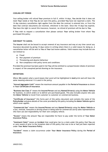# **COOLING OFF PERIOD**

Your selling broker will refund **Your** premium in full if, within 14 days, **You** decide that it does not meet **Your** needs or that **You** do not want this policy, provided **You** have not reported a claim. The 14 day statutory cancellation right applies from the date the contract is entered into, or from the date that contract documents are received, whichever is the later. Once the 14 days has expired, **You** have the right to cancel this insurance, however, no refund of premium will be due to **You**.

If **You** wish to request a cancellation then please contact **Your** selling broker from whom **You** purchased this policy

# **OUR RIGHT TO CANCEL**

The **Insurer** shall not be bound to accept renewal of any insurance and may at any time cancel any insurance document by giving 14 days notice in writing where there is a valid reason for doing so. A cancellation letter will be sent to **You** at **Your** last known address. Valid reasons may include but are not limited to:

- a) Fraud
- b) Non-payment of premium
- c) Threatening and abusive behaviour
- d) Non-compliance with policy terms and conditions

Provided the premium has been paid in full **You** will be entitled to a proportionate rebate of premium in respect of the unexpired period showing on the insurance.

## **DEFINITIONS**

*Where We explain what a word means that word will be highlighted in bold print and will have the same meaning wherever it is used in the policy.*

**"Annual Aggregate Limit"** means the maximum amount payable in the **Period of Insurance** as shown in **Your Certificate of Insurance**.

"**Business Use Class 3**" means the **Insured Person** and any **Named Driver(s)** using the **Motor Vehicle** for business, to solicit orders or to deliver pre-purchased goods. This also includes anyone who uses the **Motor Vehicle** to travel from customer to customer on commercial business.

**"Certificate of Insurance"** this forms part of this policy document and contains the name of the **Policyholder** and gives details of the cover provided by this policy including the **Motor Vehicle** against which cover applies.

"**Commercial Use**" means the **Insured Person** and any **Named Driver(s)** using the **Motor Vehicle** as a taxi, minicab, limousine or driving school or being used for commercial use by sales representatives who have use and responsibility for their own company vehicle.

**"Excess"** means the amount **You** are responsible for/have to pay under the terms of **Your Motor Insurance Policy.**

**"Imminent Claim"** means an **Incident** that could give rise to a claim under this policy that **You** are or were aware of prior to the inception date of this policy that was to be or had just been reported under **Your Motor Insurance Policy**.

**"Incident"** means a claim occurrence under **Your Motor Insurance Policy** during the **Period of Insurance.**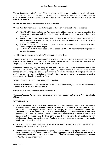**"Motor Insurance Policy"** means **Your** insurance policy covering social, domestic, pleasure, commuting, commercial or business up to and including business class 3use by the **Policyholder** and/or a **Named Driver(s)**; issued by an authorised and regulated **Motor Insurer** to **You** in respect of **Your Motor Vehicle.**

**"Motor Insurer"** means an authorised UK **Motor Insurer**.

**"Motor Vehicle"** means one of the following as declared on **Your Certificate of Insurance**

- a) PRIVATE MOTOR also called a car (not being an invalid carriage) which is constructed for the carriage of passengers and their effects and is adapted to carry no more than seven passengers.
- a) BUSINESS CAR (not being an invalid carriage) constructed for the carriage of passengers and their effects and is adapted to carry no more than seven passengers that is used for personal and/or commercial business.
- b) MOTORCYCLE (also called a motor bicycle or motorbike) which is constructed with twowheels and powered by an engine
- c) COMMERCIAL VEHICLE not exceeding an uploaded weight of 44 metric tonnes being used for transporting goods.

of which **You** are the owner or which **You** are authorised to drive.

**"Named Driver(s)"** means drivers in addition to **You** who are permitted to drive under the terms of **Your Motor Insurance Policy**.**"Period of Insurance"** means the period for which **We** have accepted the premium as stated in **Your Certificate of Insurance**.

**"Terrorism"** means any act, including but not limited to the use of force or violence and/or the threat thereof, of any person or group(s) of persons, whether acting alone or on behalf of or in connection with any organisation(s) or government(s), committed for political, religious, ideological or ethic purposes or reasons including the intention to influence any government and/or to put the public, or any section of the public, in fear.

**"Waiting Period"** means the first 14 days of this policy.

**"Waived or Reimbursed"** means where a third party has already made good the **Excess** shown in the schedule of **Your Motor Insurance Policy**.

**"We/Us/Our"** means **Astrenska Insurance Limited**.

**"You/Your/Insured Person"** means the person whose name appears at the top of **Your Certificate of Insurance**.

## **COVER PROVIDED**

- 1. Cover is provided for the **Excess** that **You** are responsible for following the successful settlement of any loss, destruction or damage for **Your Motor Vehicle** under **Your Motor Insurance Policy** in respect of claims arising as a result of accidental damage, fire, theft, or vandalism. Where **You** were at fault the claim will be settled when **We** are in receipt of the settlement letter from **Your Motor Insurer**. For claims where **You** are deemed either partially at fault or not at fault if **Your Excess** is not recovered from the third party within 6 months from the of **Incident We** will reimburse any **Excess** payment for which **You** have been made liable up to the **Annual Aggregate Limit** insured under the policy.
- 2. Cover will only operate when the **Excess** of **Your Motor Insurance Policy** is exceeded and following the successful claim payment.
- 3. The maximum amount payable under this policy will be the **Annual Aggregate Limit** as shown in **Your Certificate of Insurance**. Once the **Annual Aggregate Limit** is exhausted this policy is automatically cancelled and **You** are then liable for all and any future **Excess** payments as defined in **Your Motor Insurance Policy**.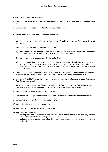### **WHAT IS NOT COVERED (Exclusions)**

- 1. Any claim that **Your Motor Insurance Policy** does not respond to or the **Excess** there under is not exceeded.
- 2. Any claim that is refused under **Your Motor Insurance Policy.**
- 3. Any **Incident** that occurs during the **Waiting Period.**
- 4. Any claim other than one relating to **Your Motor Vehicle** as shown on **Your Certificate of Insurance.**
- 5. Any claim where the **Motor Vehicle** is being used
	- a) for **Commercial Use**, **Business Use Class 3** or hire and reward unless **Your Motor Vehicle** has been declared as a BUSINESS CAR, COMMERCIAL VEHICLE or a TAXI
	- b) for any purpose in connection with the motor trade
	- c) in any competition, trial, performance test, race or trial of speed, including off-road events, whether between **Motor Vehicles** or otherwise, and irrespective of whether this takes place on any circuit or track, formed or otherwise, and regardless of any statutory authorisation of any such event.
- 4. Any claim under **Your Motor Insurance Policy** which occurred prior to the **Period of Insurance** as shown on **Your Certificate of Insurance** that **You** were aware was an **Imminent Claim**.
- 5. Any claim notified to **Us** more than 31 days following the successful settlement of **Your** claim under **Your Motor Insurance Policy**.
- 6. Any contribution or deduction from the settlement of **Your** claim against **Your Motor Insurance Policy** other than the stated policy **Excess** for which **You** have been made liable.
- 7. Any claim that has been **Waived or Reimbursed**.
- 8 Any liability **You** accept by agreement or contract, unless **You** would have been liable anyway.
- 9. Any claim arising from glass repair or replacement.
- 10. Any claim arising from breakdown or misfuel.
- 11. Any claim resulting from war and/or **Terrorism**.
- 12. Any claim resulting from:
	- ionising radiation or radioactive contamination from any nuclear fuel or from any nuclear waste which results from burning nuclear fuel; or
	- radioactive, toxic, explosive or other dangerous properties of any nuclear machinery or any part of it.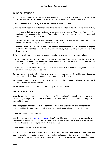## **CONDITIONS APPLICABLE**

- 1. **Your** Motor Excess Protection Insurance Policy will continue to respond for the **Period of Insurance** or until **Your Annual Aggregate Limit** is exhausted; whichever comes first.
- 2. **Your Motor Insurance Policy** must be maintained, current and valid.
- 3. The **Insured Person** must match the name of the individual stated on **Your Motor Insurance Policy.**
- 4. In the event that any misrepresentation or concealment is made by **You** or on **Your** behalf in obtaining this insurance or in support of any claim under this insurance the policy is voided and no refund of premium will be given.
- 5. Right of Recovery **We** can take proceedings in **Your** name but at **Our** expense to recover for **Our** benefit the amount of any payment made under this policy.
- 6. Other Insurance If **You** were covered by any other insurance for the **Excess** payable following the **Incident**, which resulted in a valid claim under this policy, **We** will only pay **Our** proportionate share of the claim.
- 7. **You** must take reasonable steps to safeguard against loss or additional exposure to loss.
- 8. **We** will only give **You** the cover that is described in this policy if **You** have complied with the terms and conditions under **Your Motor Insurance Policy** and all the terms and conditions of this insurance policy, as far as they apply.
- 9. If **You** make a claim under this policy that is found to be false or fraudulent in any way, the policy is void and any claim will not be paid.
- 10.This insurance is only valid if **You** are a permanent resident of the United Kingdom (England, Wales, Scotland, Northern Ireland, Channel Islands and the Isle of Man.
- 11.**You** and any **Named Driver(s)** must have a current full and valid UK driving licence, or hold a full internationally recognised licence.
- 12.**We** have the right to approach any third party in relation to **Your** claim.

## **HOW TO MAKE A CLAIM**

**Your** claim will be handled on the insurer's behalf by ClaimEz. ClaimEz is an online web based system managed by Strategic Insurance Services Limited (SISL) who, whilst handling claims, is acting as an agent of the insurer.

The claim process has been specifically designed to make it as quick and efficient as possible to process and handle **Your** claim. **You** will be asked to provide **Your** scheme code which is **20419**.

If **You** have access to the internet:

Visit **Our** claims website[: www.claimez.com](http://www.claimez.com/) where **You** will be able to register **Your** claim, enter all the necessary details and upload the documents that will be specified to **You**. **Our** internet solution is the quickest and easiest way to submit **Your** claim to **Us**.

If **You** do not have access to the internet:

Please call ClaimEz on 0344 576 1681 to notify **Us** of **Your** claim. Some initial details will be taken and **You** will then be sent a claim form by post to complete and return to **Us** along with supporting documentation that will specified to **You**. When calling **Us**, please have **Your** policy number to hand.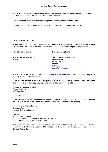Please note that a postal claim may take significantly longer to settle than an online claim; especially if **We** need to write to **You** to request additional information.

Failure to follow these steps may delay or jeopardise the payment of **Your** claim.

**ClaimEz** are an insurers agent and in the matters of a claim act on behalf of the insurer.

### **COMPLAINTS PROCEDURE**

**We** do everything possible to make sure that **You** receive a high standard of service. If **You** are not satisfied with the service that **You** receive, **You** should address **Your** enquiry/complaint to:

**For sales complaints: For claim complaints:**

Please contact your selling The Customer Care Manager Broker. ClaimEz (SIS)

PO Box 70931 London SW20 2EE [claim@claimez.com](mailto:customercare@claimez.com)

Please provide full details of **Your** policy and in particular **Your** policy/claim number to help **Your** enquiry to be dealt with speedily.

If **Your** complaint about the sale of the policy or a claim on **Your** policy cannot be resolved by the end of the next working day, your selling broker or ClaimEz will pass it to:

Astrenska Insurance Limited Cutlers Exchange 123 Houndsditch London EC3A 7BU

If **Your** complaint is not resolved within 8 weeks or **You** are not satisfied with the outcome **You** may be able to refer the complaint to the Financial Ombudsman Service (Ombudsman): -

Financial Ombudsman Service Exchange Tower Harbour Exchange Square London E14 9GE T: 0300 123 9123

- E: [complaint.info@financial-ombudsman.org.uk](mailto:info@financial-ombudsman.org.uk)
- W: [www.financial-ombudsman.org.uk](http://www.financial-ombudsman.org.uk/)

The above complaints procedure is in addition to your statutory rights as a consumer. For further information about your statutory rights contact **Your** local authority Trading Standards Service or Citizens Advise Bureau.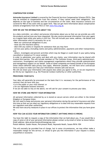## **COMPENSATION SCHEME**

**Astrenska Insurance Limited** is covered by the Financial Services Compensation Scheme (FSCS). **You** may be entitled to compensation from the scheme, if they cannot meet their obligations. This depends on the type of business and the circumstances of the claim. Most insurance contacts are covered for 90% of the claim with no upper limit. **You** can get more information about compensation scheme arrangements from the FSCS or visit [www.Fscs.org.uk.](http://www.fscs.org.uk/)

## **HOW WE USE THE INFORMATION ABOUT YOU**

As a data controller, we collect and process information about you so that we can provide you with the products and services you have requested. We also receive personal information from your agent on a regular basis while your policy is still live. This will include your name, address, risk details and other information which is necessary for us to:

· Meet our contractual obligations to you;

· issue you this insurance policy;

· deal with any claims or requests for assistance that you may have

· service your policy (including claims and policy administration, payments and other transactions); and,

· detect, investigate and prevent activities which may be illegal or could result in your policy being cancelled or treated as if it never existed.

In order to administer your policy and deal with any claims, your information may be shared with trusted third parties. This will include members of The Collinson Group, third party administrators, contractors, investigators and claims management organisations where they provide administration and management support on our behalf. Some of these companies are based outside of the European Union where different data privacy laws apply. Wherever possible, we will have strict contractual terms in place to make sure that your information remains safe and secure.

We will not share your information with anyone else unless you agree to this, or we are required to do this by our regulators (e.g. the Financial Conduct Authority) or other authorities.

## **PROCESSING YOUR DATA**

Your data will generally be processed on the basis that it is: necessary for the performance of the contract that we have with you;

is in the public or your vital interest: or

for our legitimate business interests.

If we are not able to rely on the above, we will ask for your consent to process your data.

# **HOW WE STORE AND PROTET YOUR INFORMATION**

All personal information collected by us is stored on secure servers which are either in the United Kingdom or European Union.

We will need to keep and process your personal information during the period of insurance and after this time so that we can meet our regulatory obligations or to deal with any reasonable requests from our regulators and other authorities.

We also have security measures in place in our offices to protect the information that you have given us.

## **HOW YOU CAN ACCESS YOUR INFORMATION CORRECT ANYTHING WHICH IS WRONG**

You have the right to request a copy of the information that we hold about you. If you would like a copy of some or all of your personal information please contact us by email or letter as shown below: Email address: data.protection@collinsongroup.com

Postal Address: Sussex House, Perrymount Road, Haywards Heath, Sussex RH16 1DN

This will normally be provided free of charge, but in some circumstances, we may either make a reasonable charge for this service, or refuse to give you this information if your request is clearly uniustified or excessive.